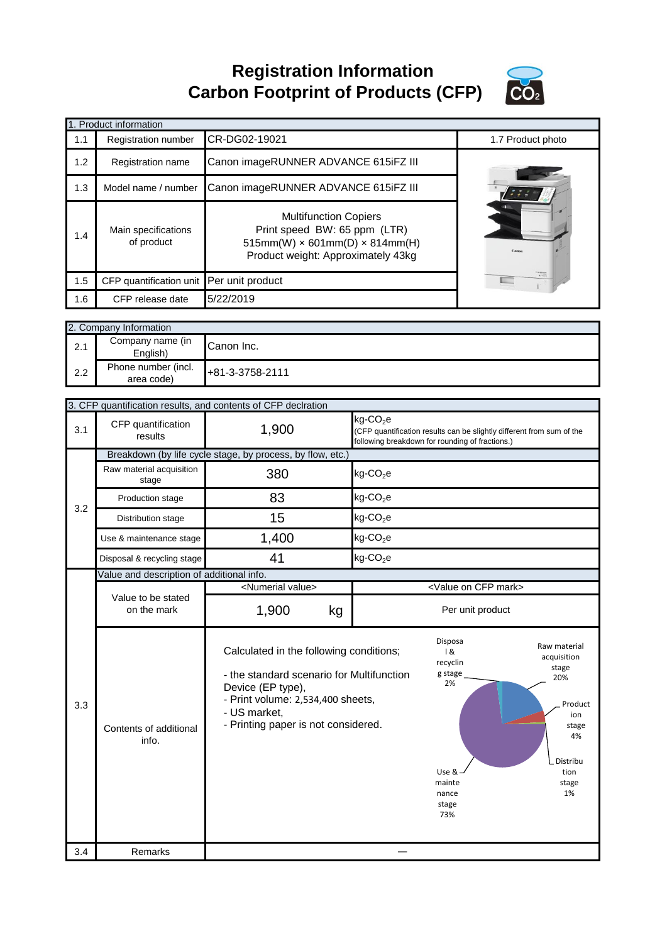**Registration Information Carbon Footprint of Products (CFP)**



|     | 1. Product information            |                                                                                                                                                  |                                                                        |                                                                       |  |
|-----|-----------------------------------|--------------------------------------------------------------------------------------------------------------------------------------------------|------------------------------------------------------------------------|-----------------------------------------------------------------------|--|
| 1.1 | Registration number               | CR-DG02-19021                                                                                                                                    |                                                                        | 1.7 Product photo                                                     |  |
| 1.2 | Registration name                 | Canon imageRUNNER ADVANCE 615iFZ III                                                                                                             |                                                                        |                                                                       |  |
| 1.3 | Model name / number               | Canon imageRUNNER ADVANCE 615iFZ III                                                                                                             |                                                                        |                                                                       |  |
| 1.4 | Main specifications<br>of product | <b>Multifunction Copiers</b><br>Print speed BW: 65 ppm (LTR)<br>$515mm(W) \times 601mm(D) \times 814mm(H)$<br>Product weight: Approximately 43kg |                                                                        | Cano                                                                  |  |
| 1.5 | CFP quantification unit           | Per unit product                                                                                                                                 |                                                                        |                                                                       |  |
| 1.6 | CFP release date                  | 5/22/2019                                                                                                                                        |                                                                        |                                                                       |  |
|     | 2. Company Information            |                                                                                                                                                  |                                                                        |                                                                       |  |
| 2.1 | Company name (in<br>English)      | Canon Inc.                                                                                                                                       |                                                                        |                                                                       |  |
| 2.2 | Phone number (incl.<br>area code) | +81-3-3758-2111                                                                                                                                  |                                                                        |                                                                       |  |
|     |                                   | 3. CFP quantification results, and contents of CFP declration                                                                                    |                                                                        |                                                                       |  |
|     |                                   |                                                                                                                                                  |                                                                        |                                                                       |  |
| 3.1 | CFP quantification<br>results     | 1,900                                                                                                                                            | kg-CO <sub>2</sub> e<br>following breakdown for rounding of fractions) | (CFP quantification results can be slightly different from sum of the |  |

|     |                                           | 3. CFF quantification results, and contents of CFF deciration                                                                                                                                         |                                                                                                                                                  |                                                                                                                 |
|-----|-------------------------------------------|-------------------------------------------------------------------------------------------------------------------------------------------------------------------------------------------------------|--------------------------------------------------------------------------------------------------------------------------------------------------|-----------------------------------------------------------------------------------------------------------------|
| 3.1 | CFP quantification<br>results             | 1,900                                                                                                                                                                                                 | kg-CO <sub>2</sub> e<br>(CFP quantification results can be slightly different from sum of the<br>following breakdown for rounding of fractions.) |                                                                                                                 |
|     |                                           | Breakdown (by life cycle stage, by process, by flow, etc.)                                                                                                                                            |                                                                                                                                                  |                                                                                                                 |
|     | Raw material acquisition<br>stage         | 380                                                                                                                                                                                                   | $kg$ -CO <sub>2</sub> e                                                                                                                          |                                                                                                                 |
| 3.2 | Production stage                          | 83                                                                                                                                                                                                    | $kg$ -CO <sub>2</sub> e                                                                                                                          |                                                                                                                 |
|     | Distribution stage                        | 15                                                                                                                                                                                                    | $kg$ -CO <sub>2</sub> e                                                                                                                          |                                                                                                                 |
|     | Use & maintenance stage                   | 1,400                                                                                                                                                                                                 | $kg$ -CO <sub>2</sub> e                                                                                                                          |                                                                                                                 |
|     | Disposal & recycling stage                | 41<br>$kg$ -CO <sub>2</sub> e                                                                                                                                                                         |                                                                                                                                                  |                                                                                                                 |
|     | Value and description of additional info. |                                                                                                                                                                                                       |                                                                                                                                                  |                                                                                                                 |
|     |                                           | <numerial value=""></numerial>                                                                                                                                                                        | <value cfp="" mark="" on=""></value>                                                                                                             |                                                                                                                 |
|     | Value to be stated<br>on the mark         | 1,900<br>kg                                                                                                                                                                                           | Per unit product                                                                                                                                 |                                                                                                                 |
| 3.3 | Contents of additional<br>info.           | Calculated in the following conditions;<br>- the standard scenario for Multifunction<br>Device (EP type),<br>- Print volume: 2,534,400 sheets,<br>- US market,<br>- Printing paper is not considered. | Disposa<br>18<br>recyclin<br>g stage<br>2%<br>Use &<br>mainte<br>nance<br>stage<br>73%                                                           | Raw material<br>acquisition<br>stage<br>20%<br>Product<br>ion<br>stage<br>4%<br>Distribu<br>tion<br>stage<br>1% |
| 3.4 | Remarks                                   |                                                                                                                                                                                                       |                                                                                                                                                  |                                                                                                                 |